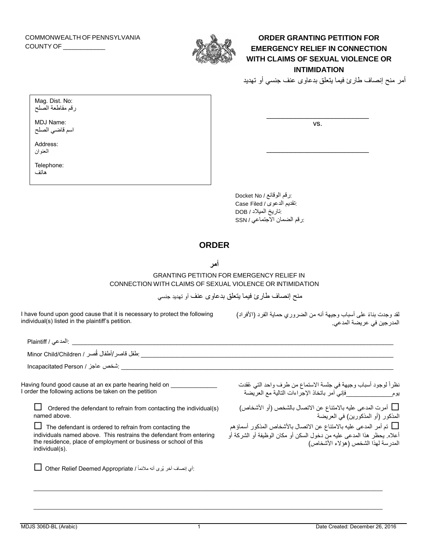COMMONWEALTH OF PENNSYLVANIA COUNTY OF \_\_\_\_\_\_\_\_\_\_\_\_



**ORDER GRANTING PETITION FOR EMERGENCY RELIEF IN CONNECTION WITH CLAIMS OF SEXUAL VIOLENCE OR INTIMIDATION**

أمر منح إنصاف طارئ فيما يتعلق بدعاوى عنف جنسي أو تهديد

 $\overline{\phantom{a}}$ vs.

 $\overline{\phantom{a}}$ 

| Mag. Dist. No:   |  |
|------------------|--|
| رقم مقاطعة الصلح |  |

MDJ Name: اسم قاضي الصلح

Address: العنوان

Telephone: هاتف

> :رقم الوقائع / No Docket :تقديم الدعوى / Filed Case :تاريخ الميالد / DOB :رقم الضمان االجتماعي / SSN

## **ORDER**

**أمر**

GRANTING PETITION FOR EMERGENCY RELIEF IN CONNECTION WITH CLAIMS OF SEXUAL VIOLENCE OR INTIMIDATION

منح إنصاف طارئ فيما يتعلق بدعاوى عنف أو تهديد جنسي

| I have found upon good cause that it is necessary to protect the following |  |
|----------------------------------------------------------------------------|--|
| individual(s) listed in the plaintiff's petition.                          |  |

لقد وجدت بناءً على أسباب وجيهة أنه من الضروري حماية الفرد (الأفراد) المدرجين في عريضة المدعي.

| نظراً لوجود أسباب وجيهة في جلسة الاستماع من طرف واحد التي عُقدت<br>يوم                             فإني آمر باتخاذ الإجراءات التالية مع العريضة |
|-------------------------------------------------------------------------------------------------------------------------------------------------|
| _ أمرت المدعى عليه بالامتناع عن الاتصال بالشخص (أو الأشخاص)<br>المذكور (أو المذكورين) في العريضة                                                |
| أعلاه. يحظر هذا المدعى عليه منّ دخول السكن أو مكان الوظيفة أو الشركة أو<br>المدرسة لهذا الشخص (هؤلاء الأشخاص)                                   |
|                                                                                                                                                 |
|                                                                                                                                                 |

\_\_\_\_\_\_\_\_\_\_\_\_\_\_\_\_\_\_\_\_\_\_\_\_\_\_\_\_\_\_\_\_\_\_\_\_\_\_\_\_\_\_\_\_\_\_\_\_\_\_\_\_\_\_\_\_\_\_\_\_\_\_\_\_\_\_\_\_\_\_\_\_\_\_\_\_\_\_\_\_\_\_\_\_\_\_\_\_\_\_\_\_\_\_\_\_\_\_\_\_\_\_\_\_\_\_\_\_\_\_\_\_